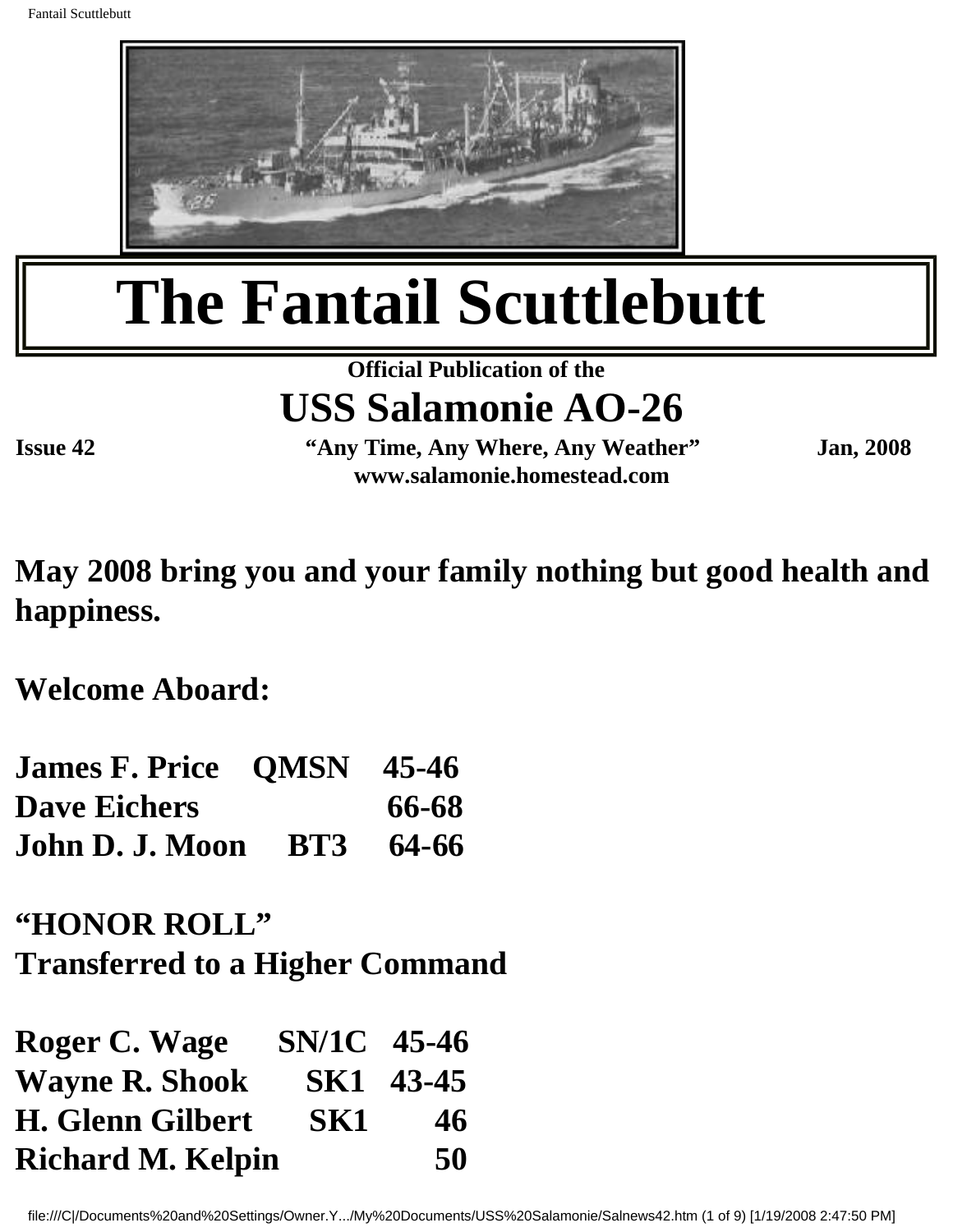

# **The Fantail Scuttlebutt**

#### **Official Publication of the USS Salamonie AO-26**

**Issue 42 "Any Time, Any Where, Any Weather" Jan, 2008 www.salamonie.homestead.com**

**May 2008 bring you and your family nothing but good health and happiness.**

**Welcome Aboard:**

| <b>James F. Price OMSN 45-46</b> |       |
|----------------------------------|-------|
| <b>Dave Eichers</b>              | 66-68 |
| <b>John D. J. Moon BT3 64-66</b> |       |

#### **"HONOR ROLL"**

**Transferred to a Higher Command**

| Roger C. Wage            | SN/1C 45-46 |           |
|--------------------------|-------------|-----------|
| <b>Wayne R. Shook</b>    |             | SK1 43-45 |
| <b>H. Glenn Gilbert</b>  | SK1         | 46        |
| <b>Richard M. Kelpin</b> |             | 50        |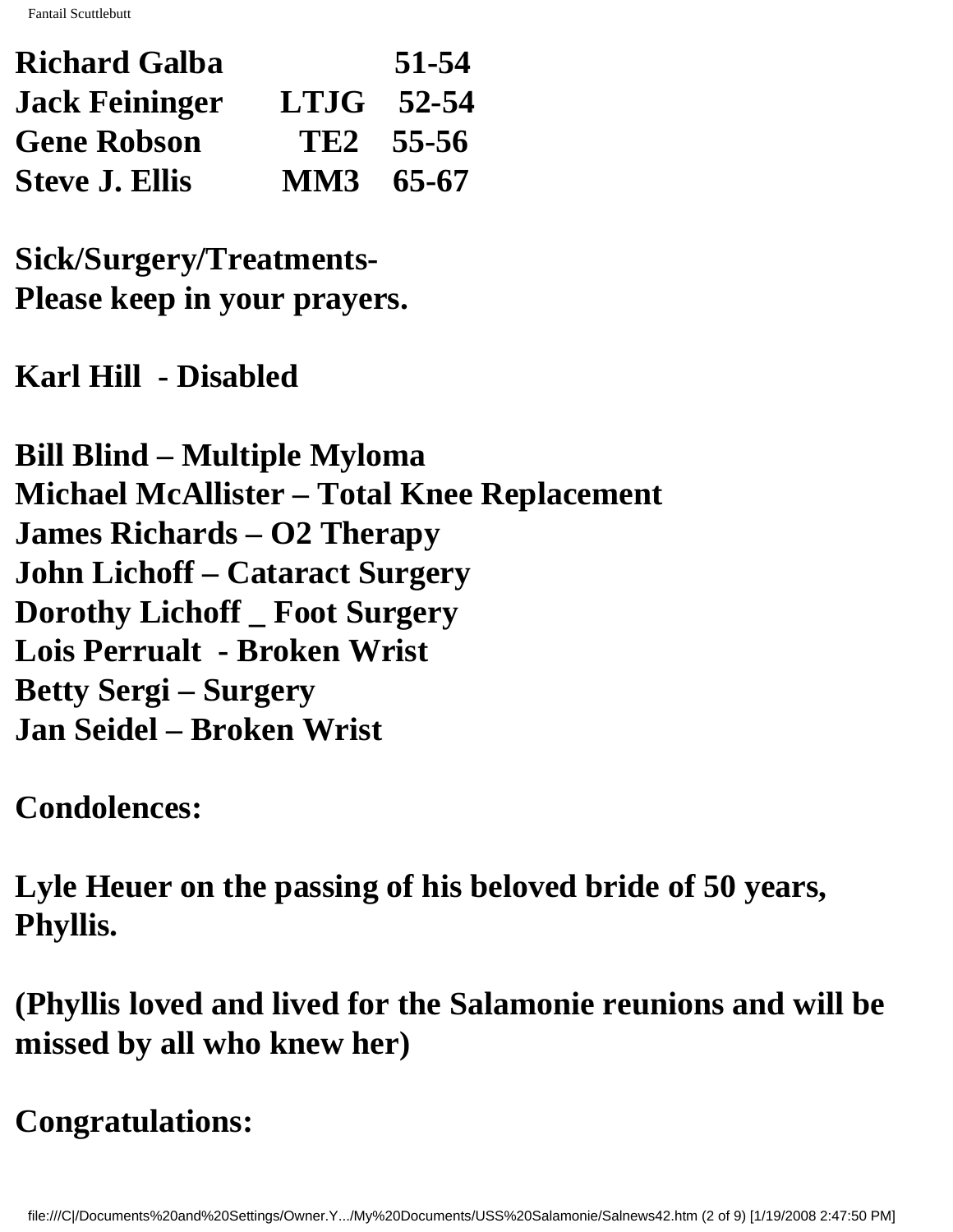Fantail Scuttlebutt

| <b>Richard Galba</b>  |           | 51-54                 |
|-----------------------|-----------|-----------------------|
| <b>Jack Feininger</b> |           | $LTJG$ 52-54          |
| <b>Gene Robson</b>    |           | TE <sub>2</sub> 55-56 |
| <b>Steve J. Ellis</b> | MM3 65-67 |                       |

**Sick/Surgery/Treatments-Please keep in your prayers.**

**Karl Hill - Disabled**

**Bill Blind – Multiple Myloma Michael McAllister – Total Knee Replacement James Richards – O2 Therapy John Lichoff – Cataract Surgery Dorothy Lichoff \_ Foot Surgery Lois Perrualt - Broken Wrist Betty Sergi – Surgery Jan Seidel – Broken Wrist**

**Condolences:**

**Lyle Heuer on the passing of his beloved bride of 50 years, Phyllis.**

**(Phyllis loved and lived for the Salamonie reunions and will be missed by all who knew her)**

**Congratulations:**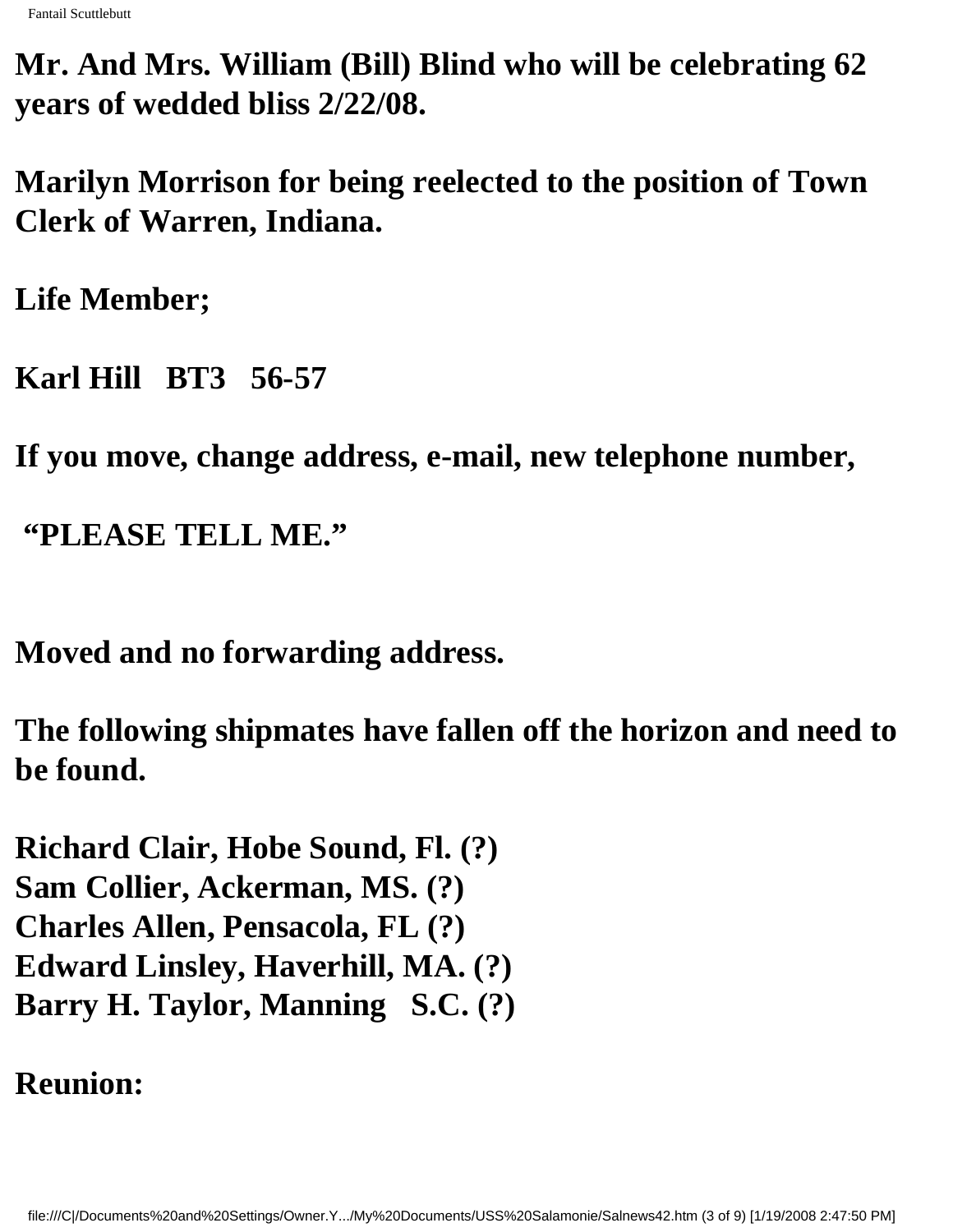**Mr. And Mrs. William (Bill) Blind who will be celebrating 62 years of wedded bliss 2/22/08.**

**Marilyn Morrison for being reelected to the position of Town Clerk of Warren, Indiana.**

**Life Member;**

**Karl Hill BT3 56-57**

**If you move, change address, e-mail, new telephone number,**

 **"PLEASE TELL ME."**

**Moved and no forwarding address.**

**The following shipmates have fallen off the horizon and need to be found.**

**Richard Clair, Hobe Sound, Fl. (?) Sam Collier, Ackerman, MS. (?) Charles Allen, Pensacola, FL (?) Edward Linsley, Haverhill, MA. (?) Barry H. Taylor, Manning S.C. (?)**

**Reunion:**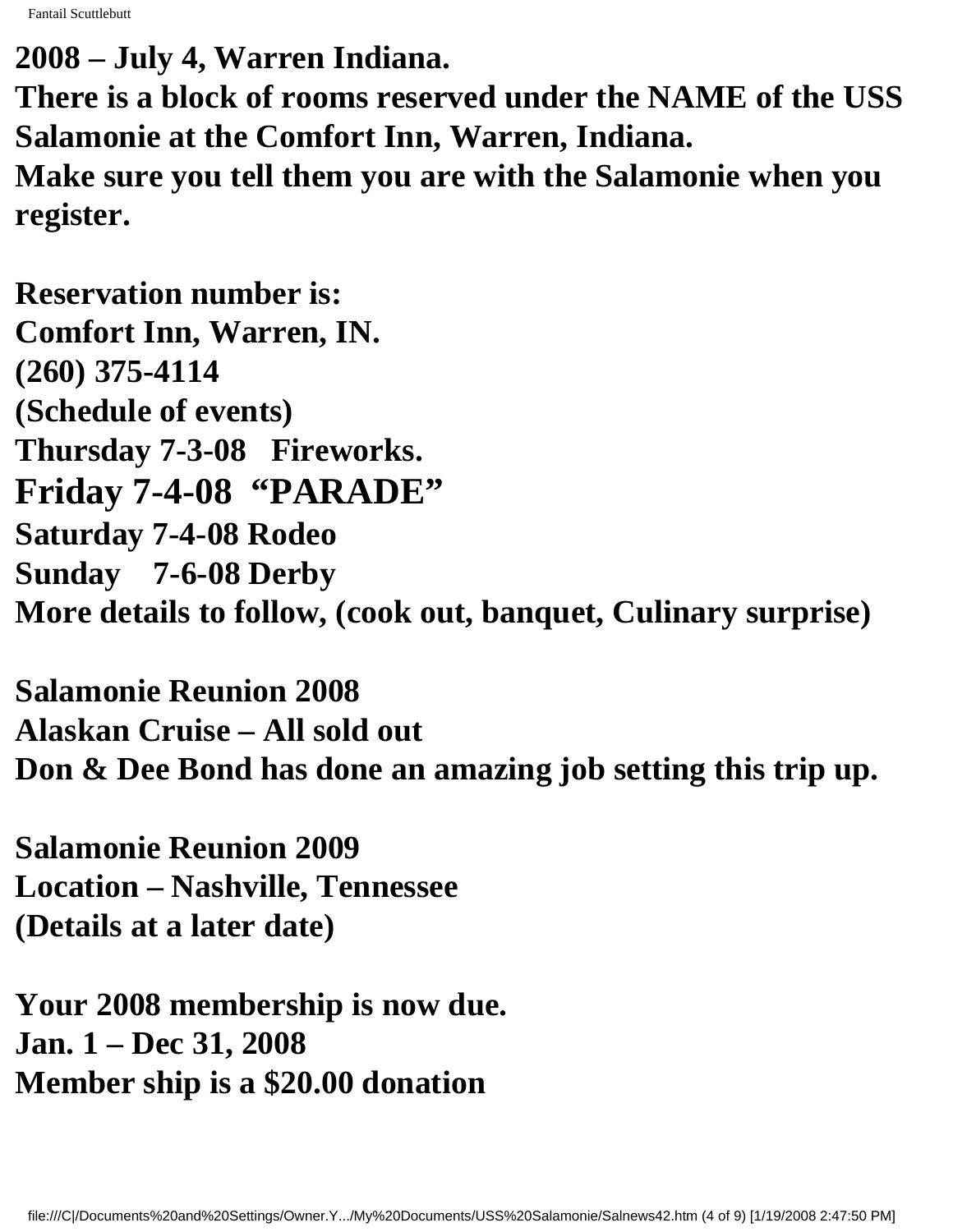Fantail Scuttlebutt

**2008 – July 4, Warren Indiana. There is a block of rooms reserved under the NAME of the USS Salamonie at the Comfort Inn, Warren, Indiana. Make sure you tell them you are with the Salamonie when you register.**

**Reservation number is: Comfort Inn, Warren, IN. (260) 375-4114 (Schedule of events) Thursday 7-3-08 Fireworks. Friday 7-4-08 "PARADE" Saturday 7-4-08 Rodeo Sunday 7-6-08 Derby More details to follow, (cook out, banquet, Culinary surprise)**

**Salamonie Reunion 2008 Alaskan Cruise – All sold out Don & Dee Bond has done an amazing job setting this trip up.**

**Salamonie Reunion 2009 Location – Nashville, Tennessee (Details at a later date)**

**Your 2008 membership is now due. Jan. 1 – Dec 31, 2008 Member ship is a \$20.00 donation**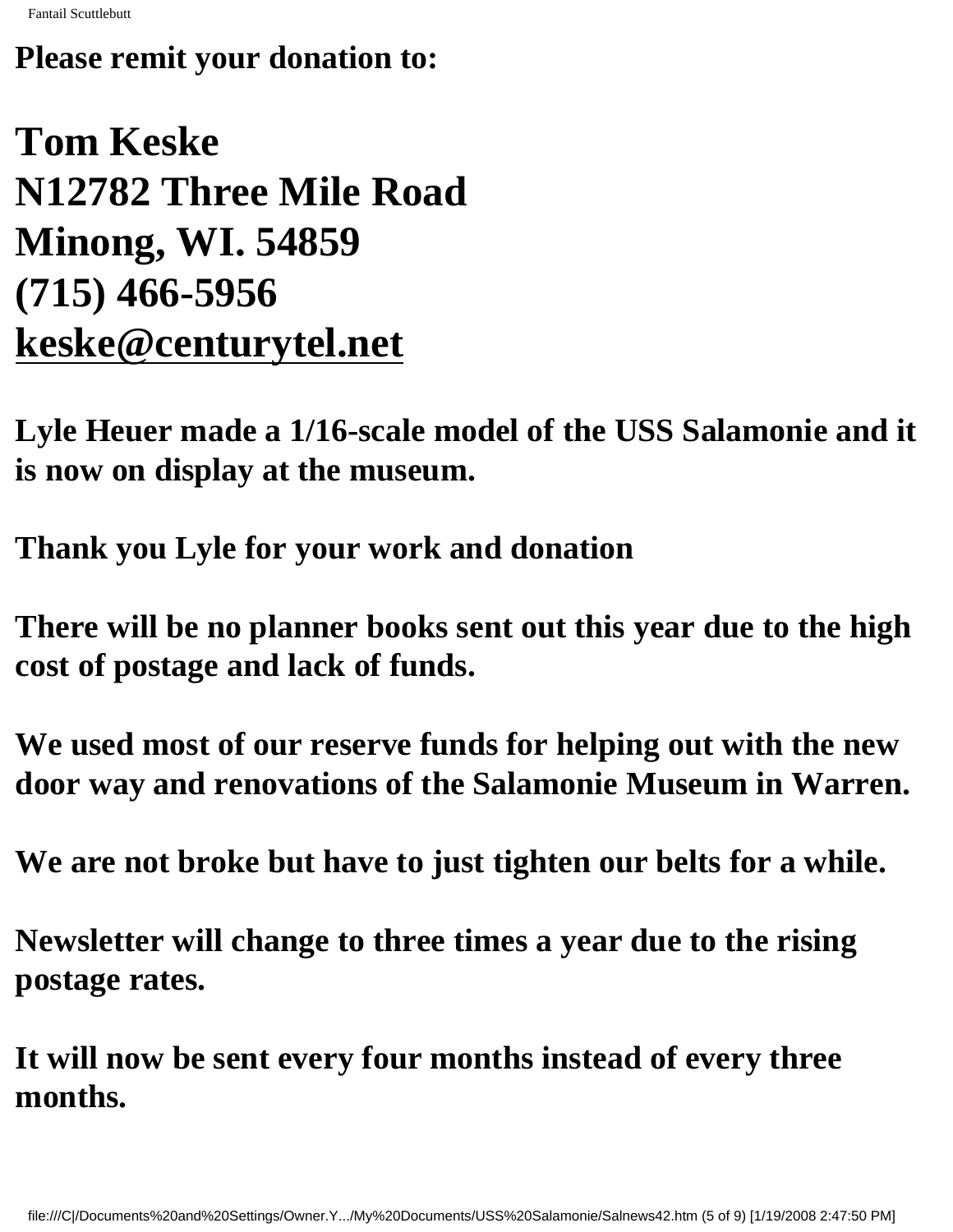#### **Please remit your donation to:**

## **Tom Keske N12782 Three Mile Road Minong, WI. 54859 (715) 466-5956 [keske@centurytel.net](mailto:keske@centurytel.net)**

**Lyle Heuer made a 1/16-scale model of the USS Salamonie and it is now on display at the museum.**

**Thank you Lyle for your work and donation**

**There will be no planner books sent out this year due to the high cost of postage and lack of funds.**

**We used most of our reserve funds for helping out with the new door way and renovations of the Salamonie Museum in Warren.**

**We are not broke but have to just tighten our belts for a while.**

**Newsletter will change to three times a year due to the rising postage rates.**

**It will now be sent every four months instead of every three months.**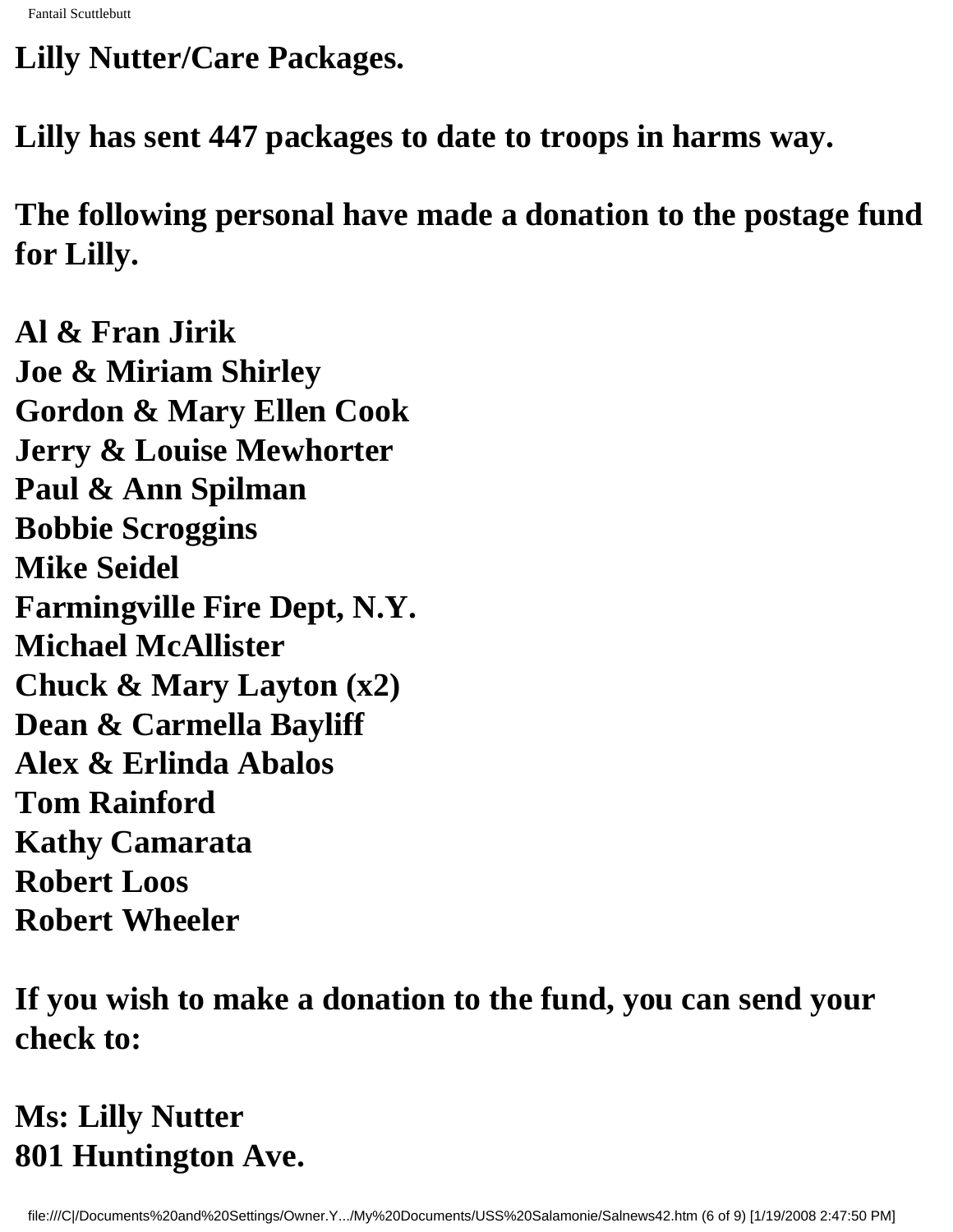**Lilly Nutter/Care Packages.**

**Lilly has sent 447 packages to date to troops in harms way.**

**The following personal have made a donation to the postage fund for Lilly.**

**Al & Fran Jirik Joe & Miriam Shirley Gordon & Mary Ellen Cook Jerry & Louise Mewhorter Paul & Ann Spilman Bobbie Scroggins Mike Seidel Farmingville Fire Dept, N.Y. Michael McAllister Chuck & Mary Layton (x2) Dean & Carmella Bayliff Alex & Erlinda Abalos Tom Rainford Kathy Camarata Robert Loos Robert Wheeler**

**If you wish to make a donation to the fund, you can send your check to:**

#### **Ms: Lilly Nutter 801 Huntington Ave.**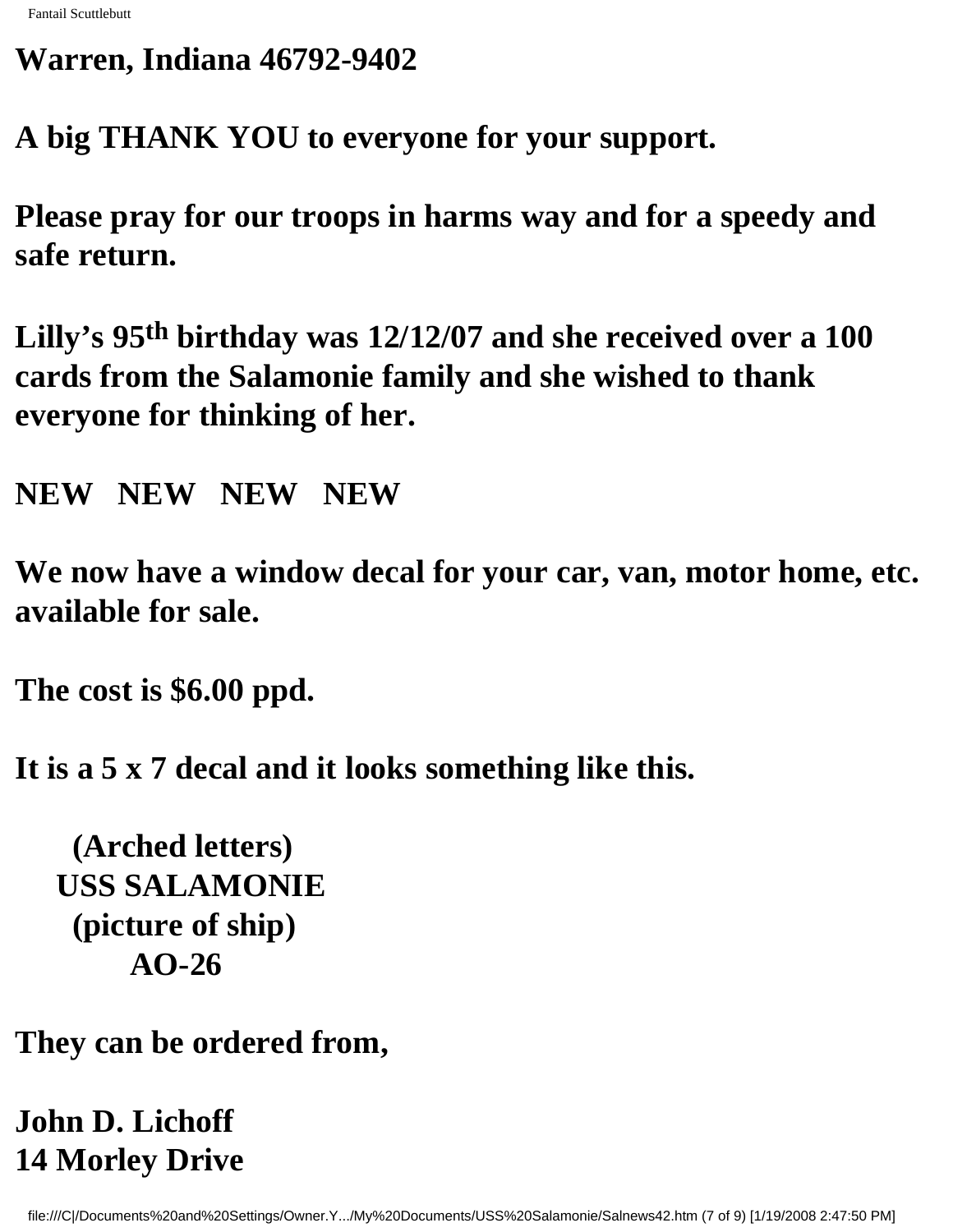#### **Warren, Indiana 46792-9402**

**A big THANK YOU to everyone for your support.**

**Please pray for our troops in harms way and for a speedy and safe return.**

**Lilly's 95th birthday was 12/12/07 and she received over a 100 cards from the Salamonie family and she wished to thank everyone for thinking of her.**

**NEW NEW NEW NEW**

**We now have a window decal for your car, van, motor home, etc. available for sale.**

**The cost is \$6.00 ppd.**

**It is a 5 x 7 decal and it looks something like this.** 

 **(Arched letters) USS SALAMONIE (picture of ship) AO-26** 

**They can be ordered from,**

### **John D. Lichoff 14 Morley Drive**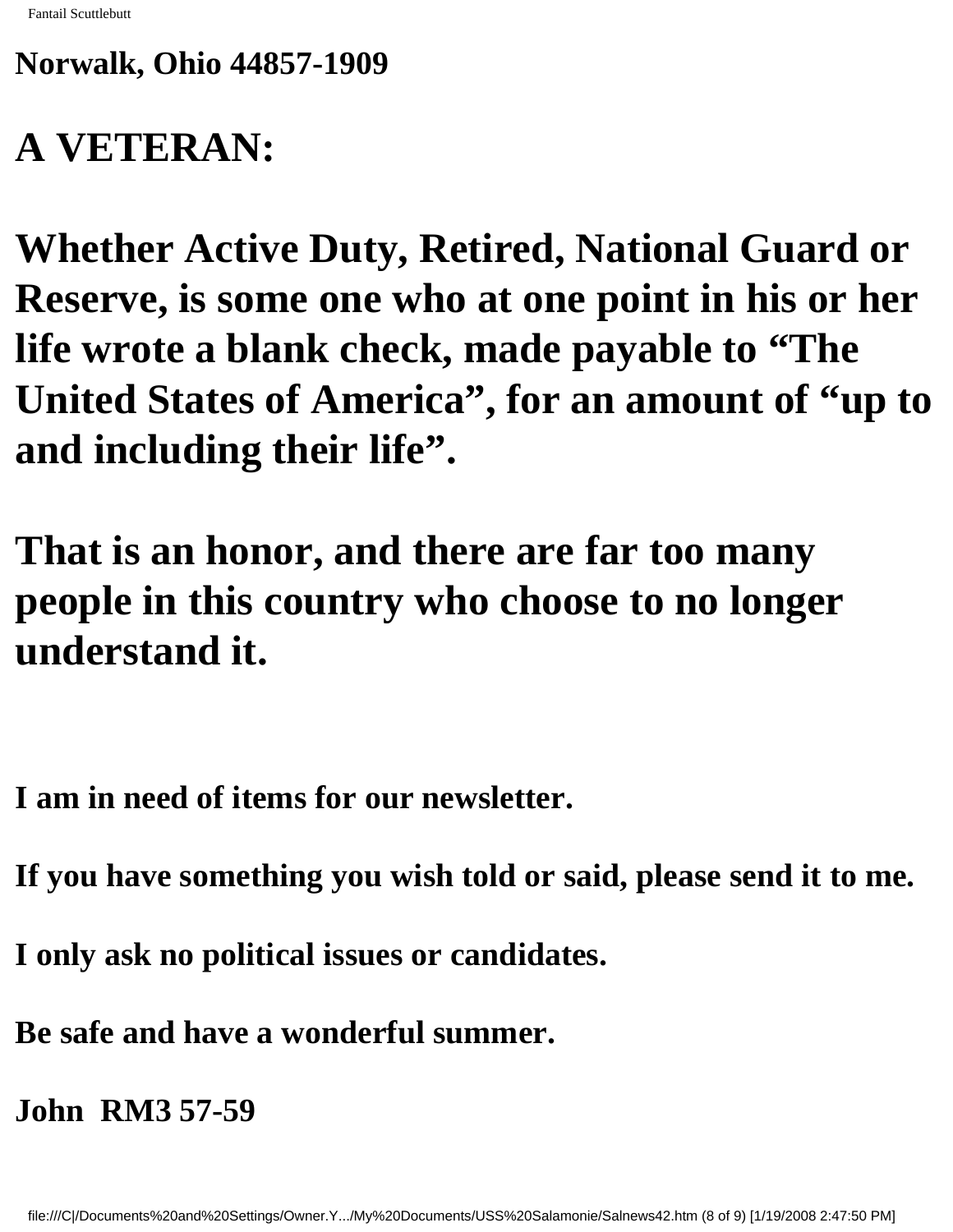#### **Norwalk, Ohio 44857-1909**

## **A VETERAN:**

**Whether Active Duty, Retired, National Guard or Reserve, is some one who at one point in his or her life wrote a blank check, made payable to "The United States of America", for an amount of "up to and including their life".**

**That is an honor, and there are far too many people in this country who choose to no longer understand it.** 

**I am in need of items for our newsletter.**

**If you have something you wish told or said, please send it to me.**

**I only ask no political issues or candidates.**

**Be safe and have a wonderful summer.**

**John RM3 57-59**